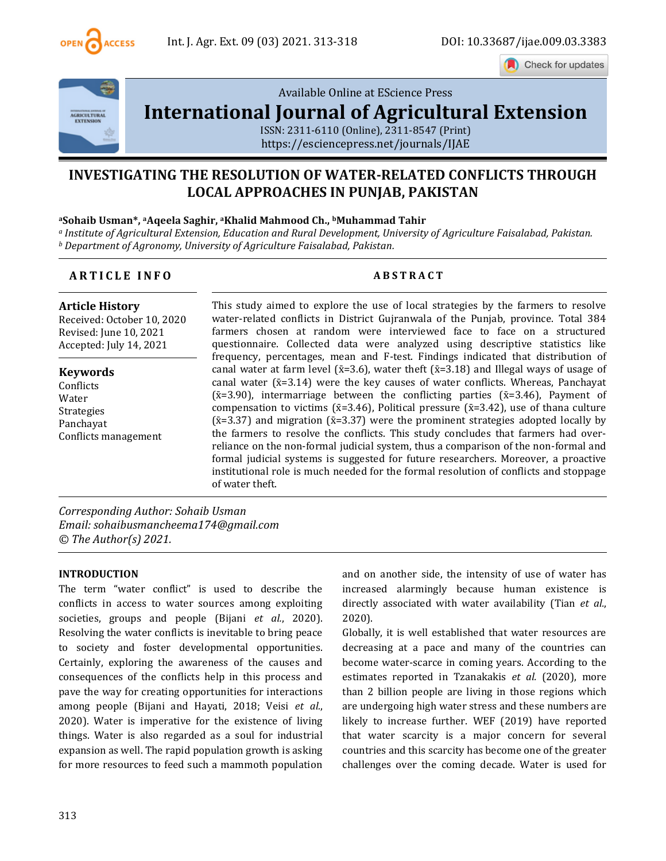

Check for updates



[Available Online at EScience Press](file:///C:/Users/user/Downloads/finalvol9issue32021ijae26articles/Available%20Online%20at%20EScience%20Press%20International%20Journal%20of%20Agricultural%20ExtensionISSN:%202311-6110%20(Online),%202311-8547%20(Print)https:/esciencepress.net/journals/IJAE) 

# **[International Journal of Agricultural Extension](file:///C:/Users/user/Downloads/finalvol9issue32021ijae26articles/Available%20Online%20at%20EScience%20Press%20International%20Journal%20of%20Agricultural%20ExtensionISSN:%202311-6110%20(Online),%202311-8547%20(Print)https:/esciencepress.net/journals/IJAE)**

[ISSN: 2311-6110 \(Online\), 2311-8547 \(Print\)](file:///C:/Users/user/Downloads/finalvol9issue32021ijae26articles/Available%20Online%20at%20EScience%20Press%20International%20Journal%20of%20Agricultural%20ExtensionISSN:%202311-6110%20(Online),%202311-8547%20(Print)https:/esciencepress.net/journals/IJAE) [https://esciencepress.net/journals/IJAE](file:///C:/Users/user/Downloads/finalvol9issue32021ijae26articles/Available%20Online%20at%20EScience%20Press%20International%20Journal%20of%20Agricultural%20ExtensionISSN:%202311-6110%20(Online),%202311-8547%20(Print)https:/esciencepress.net/journals/IJAE)

## **INVESTIGATING THE RESOLUTION OF WATER-RELATED CONFLICTS THROUGH LOCAL APPROACHES IN PUNJAB, PAKISTAN**

#### **<sup>a</sup>Sohaib Usman\*, aAqeela Saghir, aKhalid Mahmood Ch., bMuhammad Tahir**

*<sup>a</sup> Institute of Agricultural Extension, Education and Rural Development, University of Agriculture Faisalabad, Pakistan. <sup>b</sup> Department of Agronomy, University of Agriculture Faisalabad, Pakistan.*

### **A R T I C L E I N F O A B S T R A C T**

**Article History** Received: October 10, 2020 Revised: June 10, 2021 Accepted: July 14, 2021

**Keywords Conflicts** Water Strategies Panchayat Conflicts management This study aimed to explore the use of local strategies by the farmers to resolve water-related conflicts in District Gujranwala of the Punjab, province. Total 384 farmers chosen at random were interviewed face to face on a structured questionnaire. Collected data were analyzed using descriptive statistics like frequency, percentages, mean and F-test. Findings indicated that distribution of canal water at farm level ( $\bar{x}=3.6$ ), water theft ( $\bar{x}=3.18$ ) and Illegal ways of usage of canal water  $(x=3.14)$  were the key causes of water conflicts. Whereas, Panchayat ( $\bar{x}$ =3.90), intermarriage between the conflicting parties ( $\bar{x}$ =3.46), Payment of compensation to victims ( $\bar{x}$ =3.46), Political pressure ( $\bar{x}$ =3.42), use of thana culture  $({\bar{x}}=3.37)$  and migration  $({\bar{x}}=3.37)$  were the prominent strategies adopted locally by the farmers to resolve the conflicts. This study concludes that farmers had overreliance on the non-formal judicial system, thus a comparison of the non-formal and formal judicial systems is suggested for future researchers. Moreover, a proactive institutional role is much needed for the formal resolution of conflicts and stoppage of water theft.

*Corresponding Author: Sohaib Usman Email: sohaibusmancheema174@gmail.com © The Author(s) 2021.*

#### **INTRODUCTION**

The term "water conflict" is used to describe the conflicts in access to water sources among exploiting societies, groups and people (Bijani *et al.*, 2020). Resolving the water conflicts is inevitable to bring peace to society and foster developmental opportunities. Certainly, exploring the awareness of the causes and consequences of the conflicts help in this process and pave the way for creating opportunities for interactions among people (Bijani and Hayati, 2018; Veisi *et al.*, 2020). Water is imperative for the existence of living things. Water is also regarded as a soul for industrial expansion as well. The rapid population growth is asking for more resources to feed such a mammoth population

and on another side, the intensity of use of water has increased alarmingly because human existence is directly associated with water availability (Tian *et al.*, 2020).

Globally, it is well established that water resources are decreasing at a pace and many of the countries can become water-scarce in coming years. According to the estimates reported in Tzanakakis *et al.* (2020), more than 2 billion people are living in those regions which are undergoing high water stress and these numbers are likely to increase further. WEF (2019) have reported that water scarcity is a major concern for several countries and this scarcity has become one of the greater challenges over the coming decade. Water is used for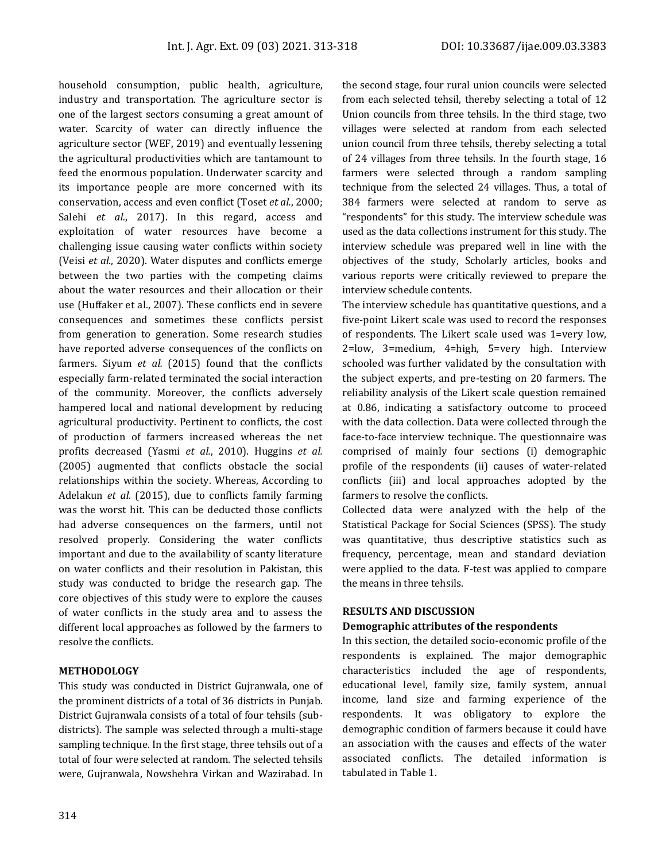household consumption, public health, agriculture, industry and transportation. The agriculture sector is one of the largest sectors consuming a great amount of water. Scarcity of water can directly influence the agriculture sector (WEF, 2019) and eventually lessening the agricultural productivities which are tantamount to feed the enormous population. Underwater scarcity and its importance people are more concerned with its conservation, access and even conflict (Toset *et al.*, 2000; Salehi *et al.*, 2017). In this regard, access and exploitation of water resources have become a challenging issue causing water conflicts within society (Veisi *et al.*, 2020). Water disputes and conflicts emerge between the two parties with the competing claims about the water resources and their allocation or their use (Huffaker et al., 2007). These conflicts end in severe consequences and sometimes these conflicts persist from generation to generation. Some research studies have reported adverse consequences of the conflicts on farmers. Siyum *et al.* (2015) found that the conflicts especially farm-related terminated the social interaction of the community. Moreover, the conflicts adversely hampered local and national development by reducing agricultural productivity. Pertinent to conflicts, the cost of production of farmers increased whereas the net profits decreased (Yasmi *et al.*, 2010). Huggins *et al.* (2005) augmented that conflicts obstacle the social relationships within the society. Whereas, According to Adelakun *et al.* (2015), due to conflicts family farming was the worst hit. This can be deducted those conflicts had adverse consequences on the farmers, until not resolved properly. Considering the water conflicts important and due to the availability of scanty literature on water conflicts and their resolution in Pakistan, this study was conducted to bridge the research gap. The core objectives of this study were to explore the causes of water conflicts in the study area and to assess the different local approaches as followed by the farmers to resolve the conflicts.

#### **METHODOLOGY**

This study was conducted in District Gujranwala, one of the prominent districts of a total of 36 districts in Punjab. District Gujranwala consists of a total of four tehsils (subdistricts). The sample was selected through a multi-stage sampling technique. In the first stage, three tehsils out of a total of four were selected at random. The selected tehsils were, Gujranwala, Nowshehra Virkan and Wazirabad. In the second stage, four rural union councils were selected from each selected tehsil, thereby selecting a total of 12 Union councils from three tehsils. In the third stage, two villages were selected at random from each selected union council from three tehsils, thereby selecting a total of 24 villages from three tehsils. In the fourth stage, 16 farmers were selected through a random sampling technique from the selected 24 villages. Thus, a total of 384 farmers were selected at random to serve as "respondents" for this study. The interview schedule was used as the data collections instrument for this study. The interview schedule was prepared well in line with the objectives of the study, Scholarly articles, books and various reports were critically reviewed to prepare the interview schedule contents.

The interview schedule has quantitative questions, and a five-point Likert scale was used to record the responses of respondents. The Likert scale used was 1=very low, 2=low, 3=medium, 4=high, 5=very high. Interview schooled was further validated by the consultation with the subject experts, and pre-testing on 20 farmers. The reliability analysis of the Likert scale question remained at 0.86, indicating a satisfactory outcome to proceed with the data collection. Data were collected through the face-to-face interview technique. The questionnaire was comprised of mainly four sections (i) demographic profile of the respondents (ii) causes of water-related conflicts (iii) and local approaches adopted by the farmers to resolve the conflicts.

Collected data were analyzed with the help of the Statistical Package for Social Sciences (SPSS). The study was quantitative, thus descriptive statistics such as frequency, percentage, mean and standard deviation were applied to the data. F-test was applied to compare the means in three tehsils.

#### **RESULTS AND DISCUSSION**

#### **Demographic attributes of the respondents**

In this section, the detailed socio-economic profile of the respondents is explained. The major demographic characteristics included the age of respondents, educational level, family size, family system, annual income, land size and farming experience of the respondents. It was obligatory to explore the demographic condition of farmers because it could have an association with the causes and effects of the water associated conflicts. The detailed information is tabulated in Table 1.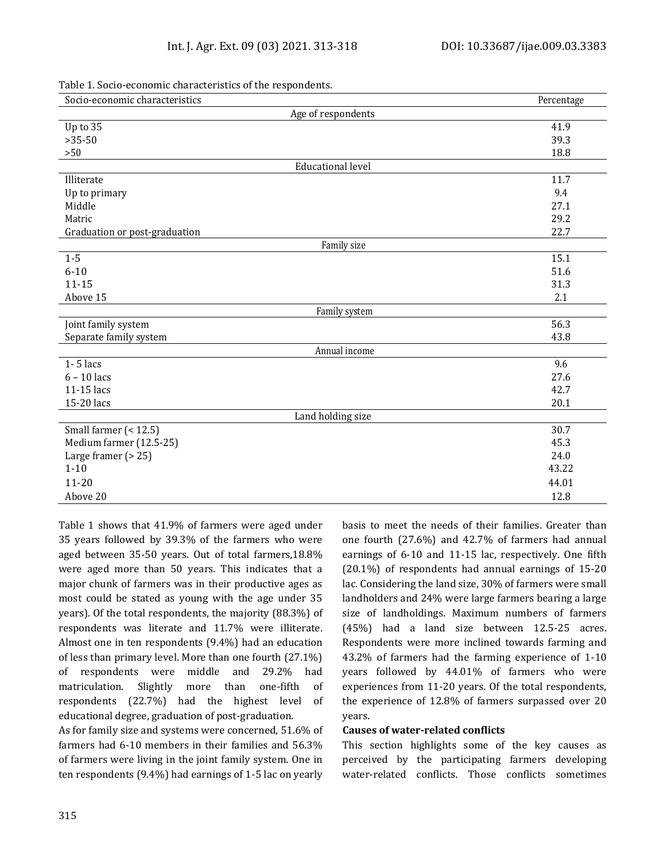| Socio-economic characteristics | Percentage |
|--------------------------------|------------|
| Age of respondents             |            |
| Up to 35                       | 41.9       |
| $>35-50$                       | 39.3       |
| $>50$                          | 18.8       |
| <b>Educational level</b>       |            |
| Illiterate                     | 11.7       |
| Up to primary                  | 9.4        |
| Middle                         | 27.1       |
| Matric                         | 29.2       |
| Graduation or post-graduation  | 22.7       |
| Family size                    |            |
| $1-5$                          | 15.1       |
| $6 - 10$                       | 51.6       |
| $11 - 15$                      | 31.3       |
| Above 15                       | 2.1        |
| Family system                  |            |
| Joint family system            | 56.3       |
| Separate family system         | 43.8       |
| Annual income                  |            |
| $1 - 5$ lacs                   | 9.6        |
| $6 - 10$ lacs                  | 27.6       |
| 11-15 lacs                     | 42.7       |
| 15-20 lacs                     | 20.1       |
| Land holding size              |            |
| Small farmer (< 12.5)          | 30.7       |
| Medium farmer (12.5-25)        | 45.3       |
| Large framer $(> 25)$          | 24.0       |
| $1 - 10$                       | 43.22      |
| $11 - 20$                      | 44.01      |
| Above 20                       | 12.8       |

Table 1. Socio-economic characteristics of the respondents.

Table 1 shows that 41.9% of farmers were aged under 35 years followed by 39.3% of the farmers who were aged between 35-50 years. Out of total farmers,18.8% were aged more than 50 years. This indicates that a major chunk of farmers was in their productive ages as most could be stated as young with the age under 35 years). Of the total respondents, the majority (88.3%) of respondents was literate and 11.7% were illiterate. Almost one in ten respondents (9.4%) had an education of less than primary level. More than one fourth (27.1%) of respondents were middle and 29.2% had matriculation. Slightly more than one-fifth of respondents (22.7%) had the highest level of educational degree, graduation of post-graduation.

As for family size and systems were concerned, 51.6% of farmers had 6-10 members in their families and 56.3% of farmers were living in the joint family system. One in ten respondents (9.4%) had earnings of 1-5 lac on yearly basis to meet the needs of their families. Greater than one fourth (27.6%) and 42.7% of farmers had annual earnings of 6-10 and 11-15 lac, respectively. One fifth (20.1%) of respondents had annual earnings of 15-20 lac. Considering the land size, 30% of farmers were small landholders and 24% were large farmers bearing a large size of landholdings. Maximum numbers of farmers (45%) had a land size between 12.5-25 acres. Respondents were more inclined towards farming and 43.2% of farmers had the farming experience of 1-10 years followed by 44.01% of farmers who were experiences from 11-20 years. Of the total respondents, the experience of 12.8% of farmers surpassed over 20 years.

#### **Causes of water-related conflicts**

This section highlights some of the key causes as perceived by the participating farmers developing water-related conflicts. Those conflicts sometimes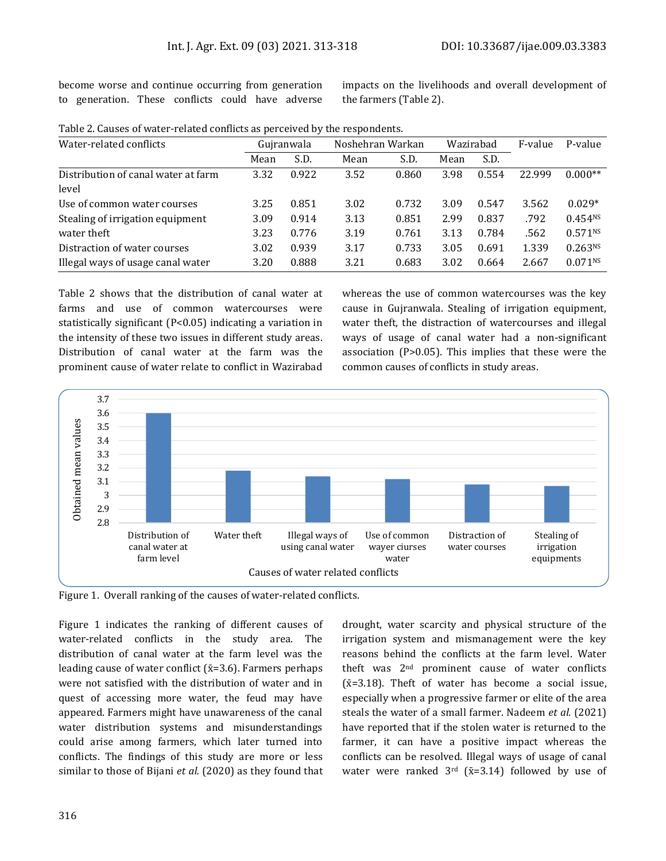become worse and continue occurring from generation to generation. These conflicts could have adverse impacts on the livelihoods and overall development of the farmers (Table 2).

| Water-related conflicts             |      | Guiranwala | Noshehran Warkan |       | Wazirabad |       | F-value | P-value             |
|-------------------------------------|------|------------|------------------|-------|-----------|-------|---------|---------------------|
|                                     | Mean | S.D.       | Mean             | S.D.  | Mean      | S.D.  |         |                     |
| Distribution of canal water at farm | 3.32 | 0.922      | 3.52             | 0.860 | 3.98      | 0.554 | 22.999  | $0.000**$           |
| level                               |      |            |                  |       |           |       |         |                     |
| Use of common water courses         | 3.25 | 0.851      | 3.02             | 0.732 | 3.09      | 0.547 | 3.562   | $0.029*$            |
| Stealing of irrigation equipment    | 3.09 | 0.914      | 3.13             | 0.851 | 2.99      | 0.837 | .792    | 0.454 <sup>NS</sup> |
| water theft                         | 3.23 | 0.776      | 3.19             | 0.761 | 3.13      | 0.784 | .562    | 0.571N              |
| Distraction of water courses        | 3.02 | 0.939      | 3.17             | 0.733 | 3.05      | 0.691 | 1.339   | $0.263^{NS}$        |
| Illegal ways of usage canal water   | 3.20 | 0.888      | 3.21             | 0.683 | 3.02      | 0.664 | 2.667   | 0.071 <sup>NS</sup> |

Table 2. Causes of water-related conflicts as perceived by the respondents.

Table 2 shows that the distribution of canal water at farms and use of common watercourses were statistically significant (P<0.05) indicating a variation in the intensity of these two issues in different study areas. Distribution of canal water at the farm was the prominent cause of water relate to conflict in Wazirabad whereas the use of common watercourses was the key cause in Gujranwala. Stealing of irrigation equipment, water theft, the distraction of watercourses and illegal ways of usage of canal water had a non-significant association (P>0.05). This implies that these were the common causes of conflicts in study areas.



Figure 1. Overall ranking of the causes of water-related conflicts.

Figure 1 indicates the ranking of different causes of water-related conflicts in the study area. The distribution of canal water at the farm level was the leading cause of water conflict ( $\bar{x}$ =3.6). Farmers perhaps were not satisfied with the distribution of water and in quest of accessing more water, the feud may have appeared. Farmers might have unawareness of the canal water distribution systems and misunderstandings could arise among farmers, which later turned into conflicts. The findings of this study are more or less similar to those of Bijani *et al.* (2020) as they found that

drought, water scarcity and physical structure of the irrigation system and mismanagement were the key reasons behind the conflicts at the farm level. Water theft was 2nd prominent cause of water conflicts  $( $\bar{x}$ =3.18)$ . Theft of water has become a social issue, especially when a progressive farmer or elite of the area steals the water of a small farmer. Nadeem *et al.* (2021) have reported that if the stolen water is returned to the farmer, it can have a positive impact whereas the conflicts can be resolved. Illegal ways of usage of canal water were ranked  $3^{rd}$  ( $\bar{x}$ =3.14) followed by use of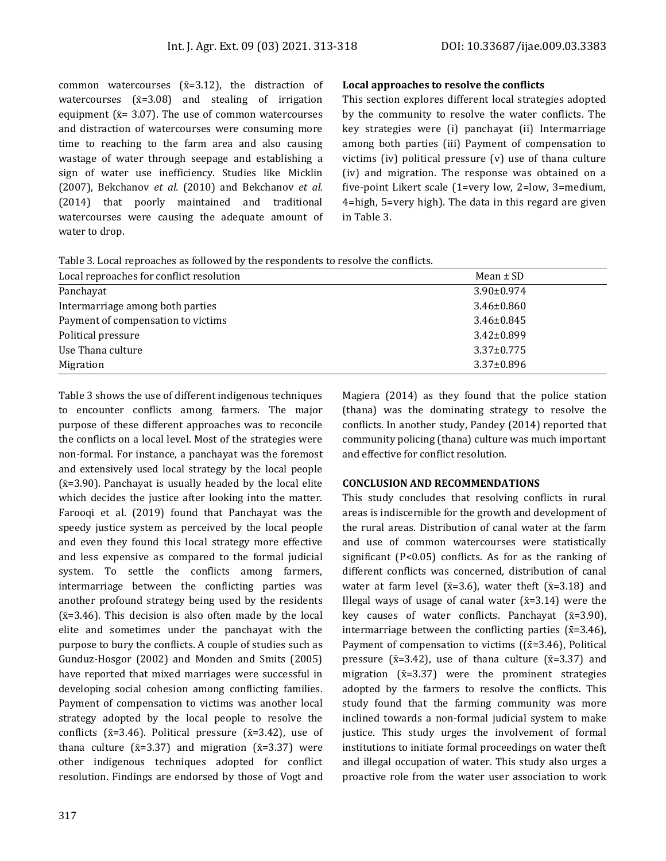common watercourses  $(x=3.12)$ , the distraction of watercourses  $(\bar{x}=3.08)$  and stealing of irrigation equipment ( $\bar{x}$ = 3.07). The use of common watercourses and distraction of watercourses were consuming more time to reaching to the farm area and also causing wastage of water through seepage and establishing a sign of water use inefficiency. Studies like Micklin (2007), Bekchanov *et al.* (2010) and Bekchanov *et al.* (2014) that poorly maintained and traditional watercourses were causing the adequate amount of water to drop.

#### **Local approaches to resolve the conflicts**

This section explores different local strategies adopted by the community to resolve the water conflicts. The key strategies were (i) panchayat (ii) Intermarriage among both parties (iii) Payment of compensation to victims (iv) political pressure (v) use of thana culture (iv) and migration. The response was obtained on a five-point Likert scale (1=very low, 2=low, 3=medium, 4=high, 5=very high). The data in this regard are given in Table 3.

Table 3. Local reproaches as followed by the respondents to resolve the conflicts.

| Local reproaches for conflict resolution | Mean $\pm$ SD    |
|------------------------------------------|------------------|
| Panchayat                                | $3.90 \pm 0.974$ |
| Intermarriage among both parties         | $3.46 \pm 0.860$ |
| Payment of compensation to victims       | $3.46 \pm 0.845$ |
| Political pressure                       | $3.42 \pm 0.899$ |
| Use Thana culture                        | $3.37 \pm 0.775$ |
| Migration                                | $3.37 \pm 0.896$ |

Table 3 shows the use of different indigenous techniques to encounter conflicts among farmers. The major purpose of these different approaches was to reconcile the conflicts on a local level. Most of the strategies were non-formal. For instance, a panchayat was the foremost and extensively used local strategy by the local people  $({\bar{x}}=3.90)$ . Panchayat is usually headed by the local elite which decides the justice after looking into the matter. Farooqi et al. (2019) found that Panchayat was the speedy justice system as perceived by the local people and even they found this local strategy more effective and less expensive as compared to the formal judicial system. To settle the conflicts among farmers, intermarriage between the conflicting parties was another profound strategy being used by the residents  $(x=3.46)$ . This decision is also often made by the local elite and sometimes under the panchayat with the purpose to bury the conflicts. A couple of studies such as Gunduz-Hosgor (2002) and Monden and Smits (2005) have reported that mixed marriages were successful in developing social cohesion among conflicting families. Payment of compensation to victims was another local strategy adopted by the local people to resolve the conflicts ( $\bar{x}$ =3.46). Political pressure ( $\bar{x}$ =3.42), use of thana culture ( $\bar{x}$ =3.37) and migration ( $\bar{x}$ =3.37) were other indigenous techniques adopted for conflict resolution. Findings are endorsed by those of Vogt and

Magiera (2014) as they found that the police station (thana) was the dominating strategy to resolve the conflicts. In another study, Pandey (2014) reported that community policing (thana) culture was much important and effective for conflict resolution.

#### **CONCLUSION AND RECOMMENDATIONS**

This study concludes that resolving conflicts in rural areas is indiscernible for the growth and development of the rural areas. Distribution of canal water at the farm and use of common watercourses were statistically significant (P<0.05) conflicts. As for as the ranking of different conflicts was concerned, distribution of canal water at farm level ( $\bar{x}$ =3.6), water theft ( $\bar{x}$ =3.18) and Illegal ways of usage of canal water  $(\bar{x}=3.14)$  were the key causes of water conflicts. Panchayat  $(\bar{x}=3.90)$ , intermarriage between the conflicting parties ( $\bar{x}$ =3.46), Payment of compensation to victims ( $(\bar{x}=3.46)$ , Political pressure ( $\bar{x}$ =3.42), use of thana culture ( $\bar{x}$ =3.37) and migration  $(\bar{x}=3.37)$  were the prominent strategies adopted by the farmers to resolve the conflicts. This study found that the farming community was more inclined towards a non-formal judicial system to make justice. This study urges the involvement of formal institutions to initiate formal proceedings on water theft and illegal occupation of water. This study also urges a proactive role from the water user association to work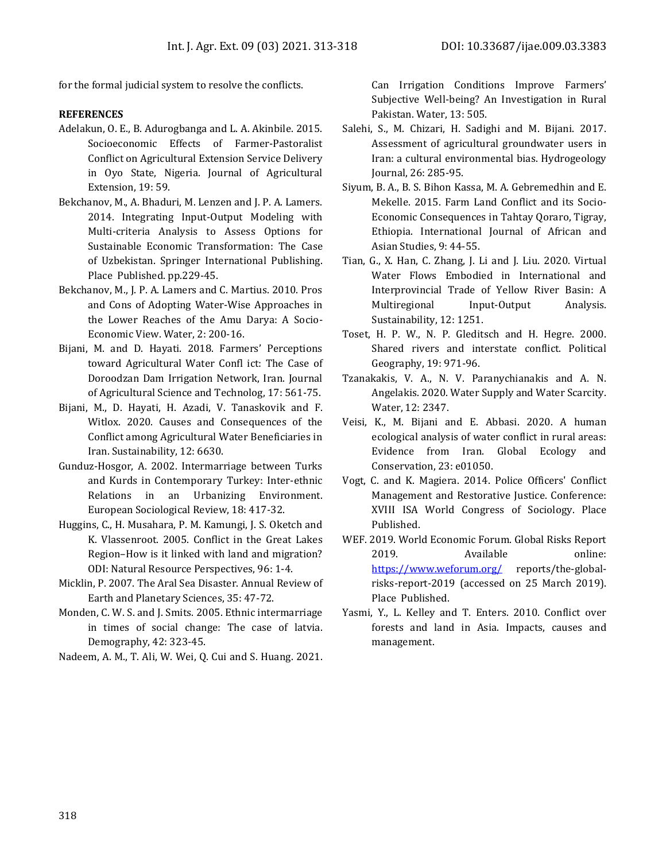for the formal judicial system to resolve the conflicts.

#### **REFERENCES**

- Adelakun, O. E., B. Adurogbanga and L. A. Akinbile. 2015. Socioeconomic Effects of Farmer-Pastoralist Conflict on Agricultural Extension Service Delivery in Oyo State, Nigeria. Journal of Agricultural Extension, 19: 59.
- Bekchanov, M., A. Bhaduri, M. Lenzen and J. P. A. Lamers. 2014. Integrating Input-Output Modeling with Multi-criteria Analysis to Assess Options for Sustainable Economic Transformation: The Case of Uzbekistan. Springer International Publishing. Place Published. pp.229-45.
- Bekchanov, M., J. P. A. Lamers and C. Martius. 2010. Pros and Cons of Adopting Water-Wise Approaches in the Lower Reaches of the Amu Darya: A Socio-Economic View. Water, 2: 200-16.
- Bijani, M. and D. Hayati. 2018. Farmers' Perceptions toward Agricultural Water Confl ict: The Case of Doroodzan Dam Irrigation Network, Iran. Journal of Agricultural Science and Technolog, 17: 561-75.
- Bijani, M., D. Hayati, H. Azadi, V. Tanaskovik and F. Witlox. 2020. Causes and Consequences of the Conflict among Agricultural Water Beneficiaries in Iran. Sustainability, 12: 6630.
- Gunduz-Hosgor, A. 2002. Intermarriage between Turks and Kurds in Contemporary Turkey: Inter-ethnic Relations in an Urbanizing Environment. European Sociological Review, 18: 417-32.
- Huggins, C., H. Musahara, P. M. Kamungi, J. S. Oketch and K. Vlassenroot. 2005. Conflict in the Great Lakes Region–How is it linked with land and migration? ODI: Natural Resource Perspectives, 96: 1-4.
- Micklin, P. 2007. The Aral Sea Disaster. Annual Review of Earth and Planetary Sciences, 35: 47-72.
- Monden, C. W. S. and J. Smits. 2005. Ethnic intermarriage in times of social change: The case of latvia. Demography, 42: 323-45.
- Nadeem, A. M., T. Ali, W. Wei, Q. Cui and S. Huang. 2021.

Can Irrigation Conditions Improve Farmers' Subjective Well-being? An Investigation in Rural Pakistan. Water, 13: 505.

- Salehi, S., M. Chizari, H. Sadighi and M. Bijani. 2017. Assessment of agricultural groundwater users in Iran: a cultural environmental bias. Hydrogeology Journal, 26: 285-95.
- Siyum, B. A., B. S. Bihon Kassa, M. A. Gebremedhin and E. Mekelle. 2015. Farm Land Conflict and its Socio-Economic Consequences in Tahtay Qoraro, Tigray, Ethiopia. International Journal of African and Asian Studies, 9: 44-55.
- Tian, G., X. Han, C. Zhang, J. Li and J. Liu. 2020. Virtual Water Flows Embodied in International and Interprovincial Trade of Yellow River Basin: A Multiregional Input-Output Analysis. Sustainability, 12: 1251.
- Toset, H. P. W., N. P. Gleditsch and H. Hegre. 2000. Shared rivers and interstate conflict. Political Geography, 19: 971-96.
- Tzanakakis, V. A., N. V. Paranychianakis and A. N. Angelakis. 2020. Water Supply and Water Scarcity. Water, 12: 2347.
- Veisi, K., M. Bijani and E. Abbasi. 2020. A human ecological analysis of water conflict in rural areas: Evidence from Iran. Global Ecology and Conservation, 23: e01050.
- Vogt, C. and K. Magiera. 2014. Police Officers' Conflict Management and Restorative Justice. Conference: XVIII ISA World Congress of Sociology. Place Published.
- WEF. 2019. World Economic Forum. Global Risks Report 2019. Available online: <https://www.weforum.org/> reports/the-globalrisks-report-2019 (accessed on 25 March 2019). Place Published.
- Yasmi, Y., L. Kelley and T. Enters. 2010. Conflict over forests and land in Asia. Impacts, causes and management.